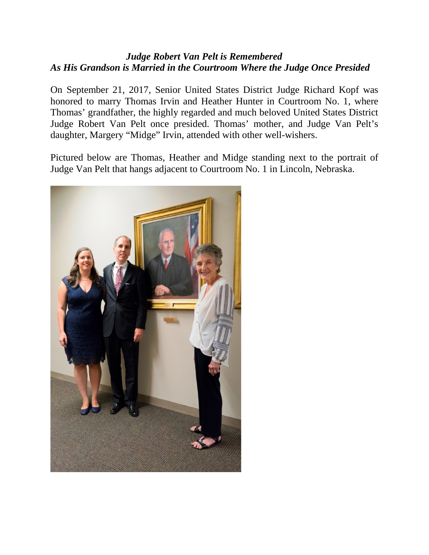## *Judge Robert Van Pelt is Remembered As His Grandson is Married in the Courtroom Where the Judge Once Presided*

On September 21, 2017, Senior United States District Judge Richard Kopf was honored to marry Thomas Irvin and Heather Hunter in Courtroom No. 1, where Thomas' grandfather, the highly regarded and much beloved United States District Judge Robert Van Pelt once presided. Thomas' mother, and Judge Van Pelt's daughter, Margery "Midge" Irvin, attended with other well-wishers.

Pictured below are Thomas, Heather and Midge standing next to the portrait of Judge Van Pelt that hangs adjacent to Courtroom No. 1 in Lincoln, Nebraska.